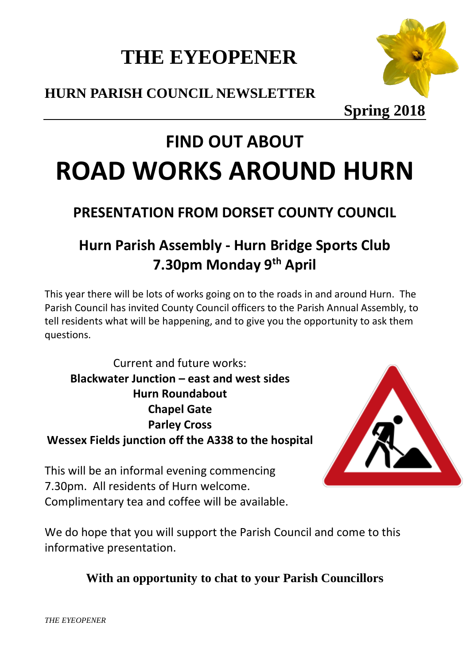## **THE EYEOPENER**

### **HURN PARISH COUNCIL NEWSLETTER**



**Spring 2018**

# **FIND OUT ABOUT ROAD WORKS AROUND HURN**

### **PRESENTATION FROM DORSET COUNTY COUNCIL**

### **Hurn Parish Assembly - Hurn Bridge Sports Club 7.30pm Monday 9th April**

This year there will be lots of works going on to the roads in and around Hurn. The Parish Council has invited County Council officers to the Parish Annual Assembly, to tell residents what will be happening, and to give you the opportunity to ask them questions.

Current and future works: **Blackwater Junction – east and west sides Hurn Roundabout Chapel Gate Parley Cross Wessex Fields junction off the A338 to the hospital**



This will be an informal evening commencing 7.30pm. All residents of Hurn welcome. Complimentary tea and coffee will be available.

We do hope that you will support the Parish Council and come to this informative presentation.

### **With an opportunity to chat to your Parish Councillors**